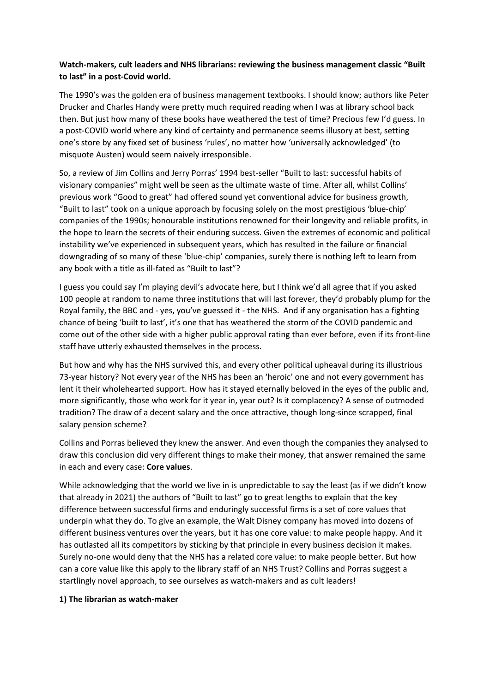# **Watch-makers, cult leaders and NHS librarians: reviewing the business management classic "Built to last" in a post-Covid world.**

The 1990's was the golden era of business management textbooks. I should know; authors like Peter Drucker and Charles Handy were pretty much required reading when I was at library school back then. But just how many of these books have weathered the test of time? Precious few I'd guess. In a post-COVID world where any kind of certainty and permanence seems illusory at best, setting one's store by any fixed set of business 'rules', no matter how 'universally acknowledged' (to misquote Austen) would seem naively irresponsible.

So, a review of Jim Collins and Jerry Porras' 1994 best-seller "Built to last: successful habits of visionary companies" might well be seen as the ultimate waste of time. After all, whilst Collins' previous work "Good to great" had offered sound yet conventional advice for business growth, "Built to last" took on a unique approach by focusing solely on the most prestigious 'blue-chip' companies of the 1990s; honourable institutions renowned for their longevity and reliable profits, in the hope to learn the secrets of their enduring success. Given the extremes of economic and political instability we've experienced in subsequent years, which has resulted in the failure or financial downgrading of so many of these 'blue-chip' companies, surely there is nothing left to learn from any book with a title as ill-fated as "Built to last"?

I guess you could say I'm playing devil's advocate here, but I think we'd all agree that if you asked 100 people at random to name three institutions that will last forever, they'd probably plump for the Royal family, the BBC and - yes, you've guessed it - the NHS. And if any organisation has a fighting chance of being 'built to last', it's one that has weathered the storm of the COVID pandemic and come out of the other side with a higher public approval rating than ever before, even if its front-line staff have utterly exhausted themselves in the process.

But how and why has the NHS survived this, and every other political upheaval during its illustrious 73-year history? Not every year of the NHS has been an 'heroic' one and not every government has lent it their wholehearted support. How has it stayed eternally beloved in the eyes of the public and, more significantly, those who work for it year in, year out? Is it complacency? A sense of outmoded tradition? The draw of a decent salary and the once attractive, though long-since scrapped, final salary pension scheme?

Collins and Porras believed they knew the answer. And even though the companies they analysed to draw this conclusion did very different things to make their money, that answer remained the same in each and every case: **Core values**.

While acknowledging that the world we live in is unpredictable to say the least (as if we didn't know that already in 2021) the authors of "Built to last" go to great lengths to explain that the key difference between successful firms and enduringly successful firms is a set of core values that underpin what they do. To give an example, the Walt Disney company has moved into dozens of different business ventures over the years, but it has one core value: to make people happy. And it has outlasted all its competitors by sticking by that principle in every business decision it makes. Surely no-one would deny that the NHS has a related core value: to make people better. But how can a core value like this apply to the library staff of an NHS Trust? Collins and Porras suggest a startlingly novel approach, to see ourselves as watch-makers and as cult leaders!

### **1) The librarian as watch-maker**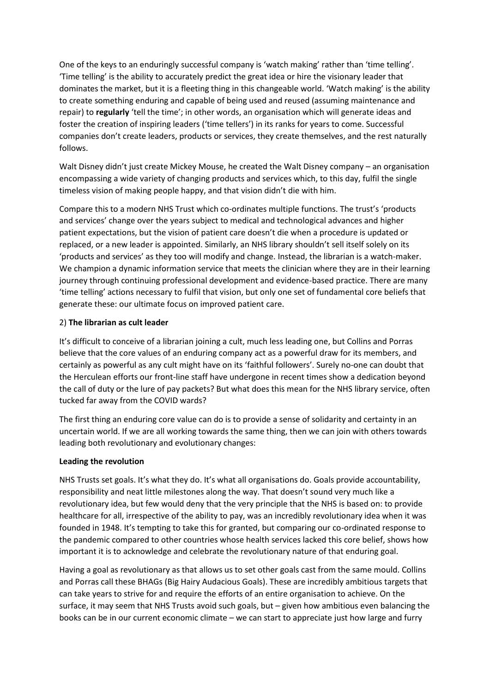One of the keys to an enduringly successful company is 'watch making' rather than 'time telling'. 'Time telling' is the ability to accurately predict the great idea or hire the visionary leader that dominates the market, but it is a fleeting thing in this changeable world. 'Watch making' is the ability to create something enduring and capable of being used and reused (assuming maintenance and repair) to **regularly** 'tell the time'; in other words, an organisation which will generate ideas and foster the creation of inspiring leaders ('time tellers') in its ranks for years to come. Successful companies don't create leaders, products or services, they create themselves, and the rest naturally follows.

Walt Disney didn't just create Mickey Mouse, he created the Walt Disney company – an organisation encompassing a wide variety of changing products and services which, to this day, fulfil the single timeless vision of making people happy, and that vision didn't die with him.

Compare this to a modern NHS Trust which co-ordinates multiple functions. The trust's 'products and services' change over the years subject to medical and technological advances and higher patient expectations, but the vision of patient care doesn't die when a procedure is updated or replaced, or a new leader is appointed. Similarly, an NHS library shouldn't sell itself solely on its 'products and services' as they too will modify and change. Instead, the librarian is a watch-maker. We champion a dynamic information service that meets the clinician where they are in their learning journey through continuing professional development and evidence-based practice. There are many 'time telling' actions necessary to fulfil that vision, but only one set of fundamental core beliefs that generate these: our ultimate focus on improved patient care.

### 2) **The librarian as cult leader**

It's difficult to conceive of a librarian joining a cult, much less leading one, but Collins and Porras believe that the core values of an enduring company act as a powerful draw for its members, and certainly as powerful as any cult might have on its 'faithful followers'. Surely no-one can doubt that the Herculean efforts our front-line staff have undergone in recent times show a dedication beyond the call of duty or the lure of pay packets? But what does this mean for the NHS library service, often tucked far away from the COVID wards?

The first thing an enduring core value can do is to provide a sense of solidarity and certainty in an uncertain world. If we are all working towards the same thing, then we can join with others towards leading both revolutionary and evolutionary changes:

### **Leading the revolution**

NHS Trusts set goals. It's what they do. It's what all organisations do. Goals provide accountability, responsibility and neat little milestones along the way. That doesn't sound very much like a revolutionary idea, but few would deny that the very principle that the NHS is based on: to provide healthcare for all, irrespective of the ability to pay, was an incredibly revolutionary idea when it was founded in 1948. It's tempting to take this for granted, but comparing our co-ordinated response to the pandemic compared to other countries whose health services lacked this core belief, shows how important it is to acknowledge and celebrate the revolutionary nature of that enduring goal.

Having a goal as revolutionary as that allows us to set other goals cast from the same mould. Collins and Porras call these BHAGs (Big Hairy Audacious Goals). These are incredibly ambitious targets that can take years to strive for and require the efforts of an entire organisation to achieve. On the surface, it may seem that NHS Trusts avoid such goals, but – given how ambitious even balancing the books can be in our current economic climate – we can start to appreciate just how large and furry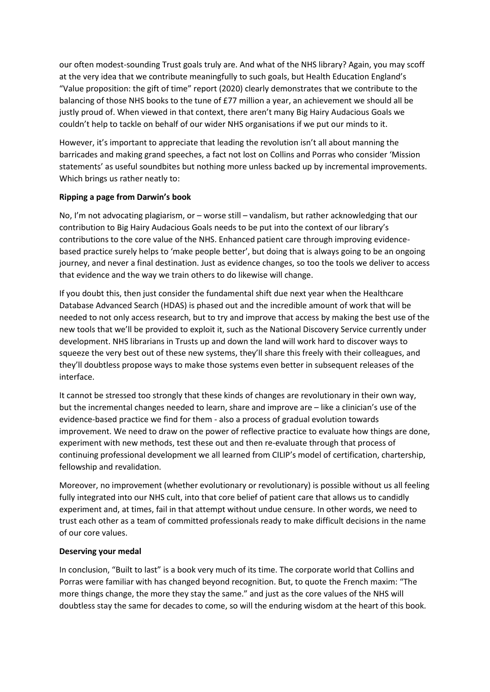our often modest-sounding Trust goals truly are. And what of the NHS library? Again, you may scoff at the very idea that we contribute meaningfully to such goals, but Health Education England's "Value proposition: the gift of time" report (2020) clearly demonstrates that we contribute to the balancing of those NHS books to the tune of £77 million a year, an achievement we should all be justly proud of. When viewed in that context, there aren't many Big Hairy Audacious Goals we couldn't help to tackle on behalf of our wider NHS organisations if we put our minds to it.

However, it's important to appreciate that leading the revolution isn't all about manning the barricades and making grand speeches, a fact not lost on Collins and Porras who consider 'Mission statements' as useful soundbites but nothing more unless backed up by incremental improvements. Which brings us rather neatly to:

### **Ripping a page from Darwin's book**

No, I'm not advocating plagiarism, or – worse still – vandalism, but rather acknowledging that our contribution to Big Hairy Audacious Goals needs to be put into the context of our library's contributions to the core value of the NHS. Enhanced patient care through improving evidencebased practice surely helps to 'make people better', but doing that is always going to be an ongoing journey, and never a final destination. Just as evidence changes, so too the tools we deliver to access that evidence and the way we train others to do likewise will change.

If you doubt this, then just consider the fundamental shift due next year when the Healthcare Database Advanced Search (HDAS) is phased out and the incredible amount of work that will be needed to not only access research, but to try and improve that access by making the best use of the new tools that we'll be provided to exploit it, such as the National Discovery Service currently under development. NHS librarians in Trusts up and down the land will work hard to discover ways to squeeze the very best out of these new systems, they'll share this freely with their colleagues, and they'll doubtless propose ways to make those systems even better in subsequent releases of the interface.

It cannot be stressed too strongly that these kinds of changes are revolutionary in their own way, but the incremental changes needed to learn, share and improve are – like a clinician's use of the evidence-based practice we find for them - also a process of gradual evolution towards improvement. We need to draw on the power of reflective practice to evaluate how things are done, experiment with new methods, test these out and then re-evaluate through that process of continuing professional development we all learned from CILIP's model of certification, chartership, fellowship and revalidation.

Moreover, no improvement (whether evolutionary or revolutionary) is possible without us all feeling fully integrated into our NHS cult, into that core belief of patient care that allows us to candidly experiment and, at times, fail in that attempt without undue censure. In other words, we need to trust each other as a team of committed professionals ready to make difficult decisions in the name of our core values.

### **Deserving your medal**

In conclusion, "Built to last" is a book very much of its time. The corporate world that Collins and Porras were familiar with has changed beyond recognition. But, to quote the French maxim: "The more things change, the more they stay the same." and just as the core values of the NHS will doubtless stay the same for decades to come, so will the enduring wisdom at the heart of this book.